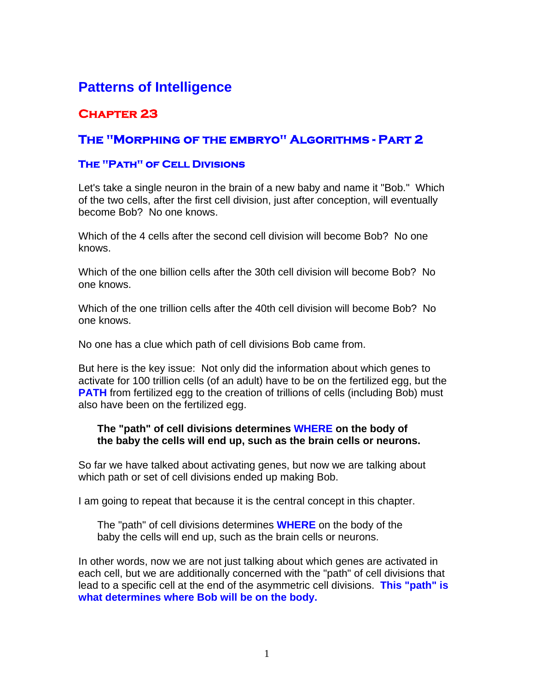# **Patterns of Intelligence**

## **Chapter 23**

### **The "Morphing of the embryo" Algorithms - Part 2**

#### **The "Path" of Cell Divisions**

Let's take a single neuron in the brain of a new baby and name it "Bob." Which of the two cells, after the first cell division, just after conception, will eventually become Bob? No one knows.

Which of the 4 cells after the second cell division will become Bob? No one knows.

Which of the one billion cells after the 30th cell division will become Bob? No one knows.

Which of the one trillion cells after the 40th cell division will become Bob? No one knows.

No one has a clue which path of cell divisions Bob came from.

But here is the key issue: Not only did the information about which genes to activate for 100 trillion cells (of an adult) have to be on the fertilized egg, but the **PATH** from fertilized egg to the creation of trillions of cells (including Bob) must also have been on the fertilized egg.

#### **The "path" of cell divisions determines WHERE on the body of the baby the cells will end up, such as the brain cells or neurons.**

So far we have talked about activating genes, but now we are talking about which path or set of cell divisions ended up making Bob.

I am going to repeat that because it is the central concept in this chapter.

The "path" of cell divisions determines **WHERE** on the body of the baby the cells will end up, such as the brain cells or neurons.

In other words, now we are not just talking about which genes are activated in each cell, but we are additionally concerned with the "path" of cell divisions that lead to a specific cell at the end of the asymmetric cell divisions. **This "path" is what determines where Bob will be on the body.**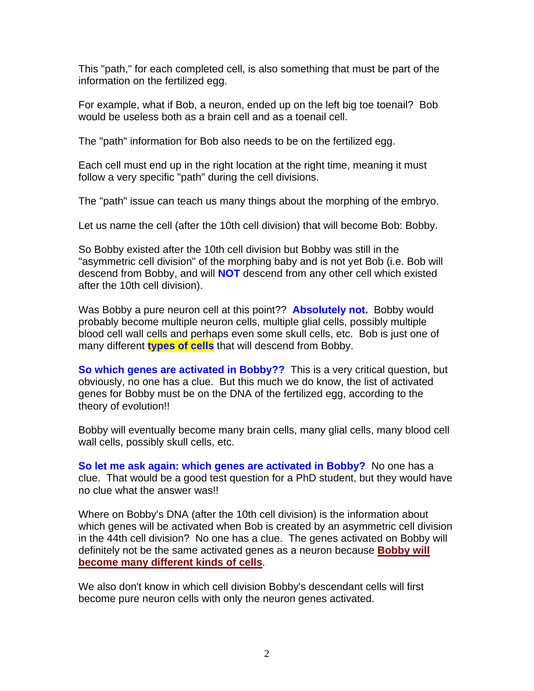This "path," for each completed cell, is also something that must be part of the information on the fertilized egg.

For example, what if Bob, a neuron, ended up on the left big toe toenail? Bob would be useless both as a brain cell and as a toenail cell.

The "path" information for Bob also needs to be on the fertilized egg.

Each cell must end up in the right location at the right time, meaning it must follow a very specific "path" during the cell divisions.

The "path" issue can teach us many things about the morphing of the embryo.

Let us name the cell (after the 10th cell division) that will become Bob: Bobby.

So Bobby existed after the 10th cell division but Bobby was still in the "asymmetric cell division" of the morphing baby and is not yet Bob (i.e. Bob will descend from Bobby, and will **NOT** descend from any other cell which existed after the 10th cell division).

Was Bobby a pure neuron cell at this point?? **Absolutely not.** Bobby would probably become multiple neuron cells, multiple glial cells, possibly multiple blood cell wall cells and perhaps even some skull cells, etc. Bob is just one of many different **types of cells** that will descend from Bobby.

**So which genes are activated in Bobby??** This is a very critical question, but obviously, no one has a clue. But this much we do know, the list of activated genes for Bobby must be on the DNA of the fertilized egg, according to the theory of evolution!!

Bobby will eventually become many brain cells, many glial cells, many blood cell wall cells, possibly skull cells, etc.

**So let me ask again: which genes are activated in Bobby?** No one has a clue. That would be a good test question for a PhD student, but they would have no clue what the answer was!!

Where on Bobby's DNA (after the 10th cell division) is the information about which genes will be activated when Bob is created by an asymmetric cell division in the 44th cell division? No one has a clue. The genes activated on Bobby will definitely not be the same activated genes as a neuron because **Bobby will become many different kinds of cells**.

We also don't know in which cell division Bobby's descendant cells will first become pure neuron cells with only the neuron genes activated.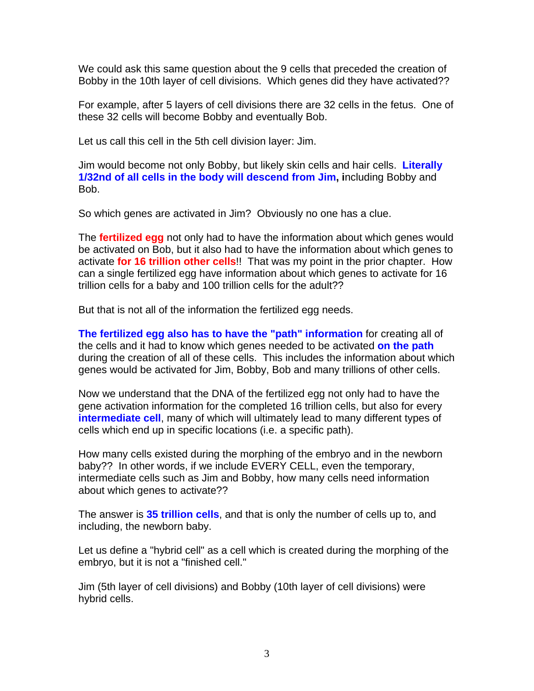We could ask this same question about the 9 cells that preceded the creation of Bobby in the 10th layer of cell divisions. Which genes did they have activated??

For example, after 5 layers of cell divisions there are 32 cells in the fetus. One of these 32 cells will become Bobby and eventually Bob.

Let us call this cell in the 5th cell division layer: Jim.

Jim would become not only Bobby, but likely skin cells and hair cells. **Literally 1/32nd of all cells in the body will descend from Jim, i**ncluding Bobby and Bob.

So which genes are activated in Jim? Obviously no one has a clue.

The **fertilized egg** not only had to have the information about which genes would be activated on Bob, but it also had to have the information about which genes to activate **for 16 trillion other cells**!! That was my point in the prior chapter. How can a single fertilized egg have information about which genes to activate for 16 trillion cells for a baby and 100 trillion cells for the adult??

But that is not all of the information the fertilized egg needs.

**The fertilized egg also has to have the "path" information** for creating all of the cells and it had to know which genes needed to be activated **on the path** during the creation of all of these cells. This includes the information about which genes would be activated for Jim, Bobby, Bob and many trillions of other cells.

Now we understand that the DNA of the fertilized egg not only had to have the gene activation information for the completed 16 trillion cells, but also for every **intermediate cell**, many of which will ultimately lead to many different types of cells which end up in specific locations (i.e. a specific path).

How many cells existed during the morphing of the embryo and in the newborn baby?? In other words, if we include EVERY CELL, even the temporary, intermediate cells such as Jim and Bobby, how many cells need information about which genes to activate??

The answer is **35 trillion cells**, and that is only the number of cells up to, and including, the newborn baby.

Let us define a "hybrid cell" as a cell which is created during the morphing of the embryo, but it is not a "finished cell."

Jim (5th layer of cell divisions) and Bobby (10th layer of cell divisions) were hybrid cells.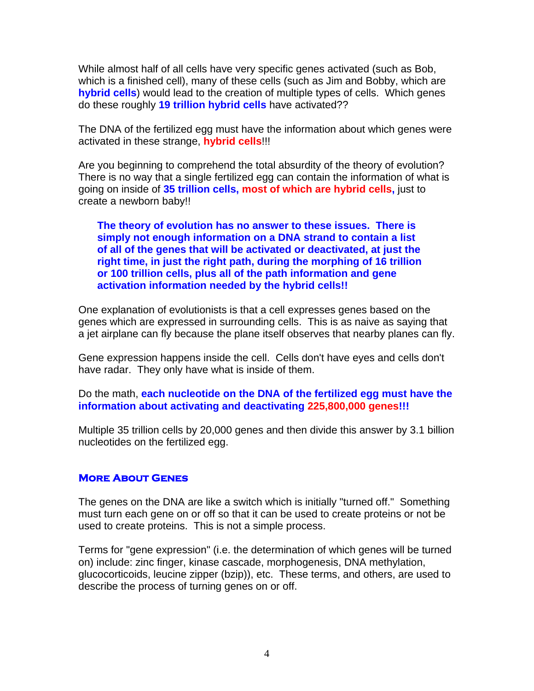While almost half of all cells have very specific genes activated (such as Bob, which is a finished cell), many of these cells (such as Jim and Bobby, which are **hybrid cells**) would lead to the creation of multiple types of cells. Which genes do these roughly **19 trillion hybrid cells** have activated??

The DNA of the fertilized egg must have the information about which genes were activated in these strange, **hybrid cells**!!!

Are you beginning to comprehend the total absurdity of the theory of evolution? There is no way that a single fertilized egg can contain the information of what is going on inside of **35 trillion cells, most of which are hybrid cells,** just to create a newborn baby!!

**The theory of evolution has no answer to these issues. There is simply not enough information on a DNA strand to contain a list of all of the genes that will be activated or deactivated, at just the right time, in just the right path, during the morphing of 16 trillion or 100 trillion cells, plus all of the path information and gene activation information needed by the hybrid cells!!** 

One explanation of evolutionists is that a cell expresses genes based on the genes which are expressed in surrounding cells. This is as naive as saying that a jet airplane can fly because the plane itself observes that nearby planes can fly.

Gene expression happens inside the cell. Cells don't have eyes and cells don't have radar. They only have what is inside of them.

Do the math, **each nucleotide on the DNA of the fertilized egg must have the information about activating and deactivating 225,800,000 genes!!!** 

Multiple 35 trillion cells by 20,000 genes and then divide this answer by 3.1 billion nucleotides on the fertilized egg.

#### **More About Genes**

The genes on the DNA are like a switch which is initially "turned off." Something must turn each gene on or off so that it can be used to create proteins or not be used to create proteins. This is not a simple process.

Terms for "gene expression" (i.e. the determination of which genes will be turned on) include: zinc finger, kinase cascade, morphogenesis, DNA methylation, glucocorticoids, leucine zipper (bzip)), etc. These terms, and others, are used to describe the process of turning genes on or off.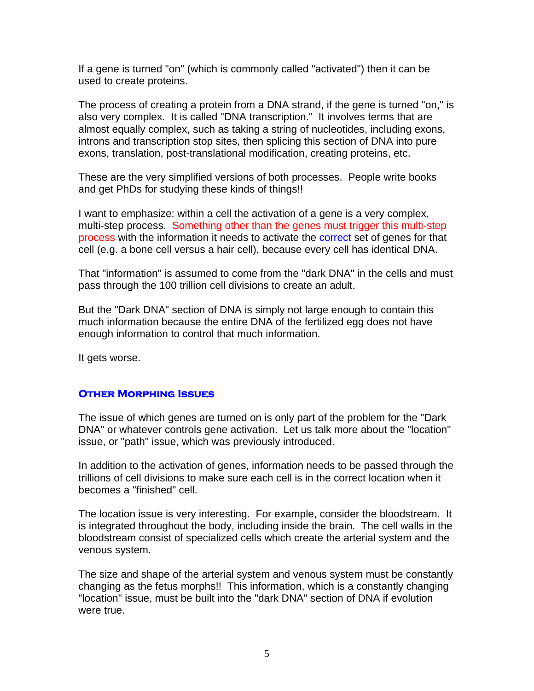If a gene is turned "on" (which is commonly called "activated") then it can be used to create proteins.

The process of creating a protein from a DNA strand, if the gene is turned "on," is also very complex. It is called "DNA transcription." It involves terms that are almost equally complex, such as taking a string of nucleotides, including exons, introns and transcription stop sites, then splicing this section of DNA into pure exons, translation, post-translational modification, creating proteins, etc.

These are the very simplified versions of both processes. People write books and get PhDs for studying these kinds of things!!

I want to emphasize: within a cell the activation of a gene is a very complex, multi-step process. Something other than the genes must trigger this multi-step process with the information it needs to activate the correct set of genes for that cell (e.g. a bone cell versus a hair cell), because every cell has identical DNA.

That "information" is assumed to come from the "dark DNA" in the cells and must pass through the 100 trillion cell divisions to create an adult.

But the "Dark DNA" section of DNA is simply not large enough to contain this much information because the entire DNA of the fertilized egg does not have enough information to control that much information.

It gets worse.

#### **Other Morphing Issues**

The issue of which genes are turned on is only part of the problem for the "Dark DNA" or whatever controls gene activation. Let us talk more about the "location" issue, or "path" issue, which was previously introduced.

In addition to the activation of genes, information needs to be passed through the trillions of cell divisions to make sure each cell is in the correct location when it becomes a "finished" cell.

The location issue is very interesting. For example, consider the bloodstream. It is integrated throughout the body, including inside the brain. The cell walls in the bloodstream consist of specialized cells which create the arterial system and the venous system.

The size and shape of the arterial system and venous system must be constantly changing as the fetus morphs!! This information, which is a constantly changing "location" issue, must be built into the "dark DNA" section of DNA if evolution were true.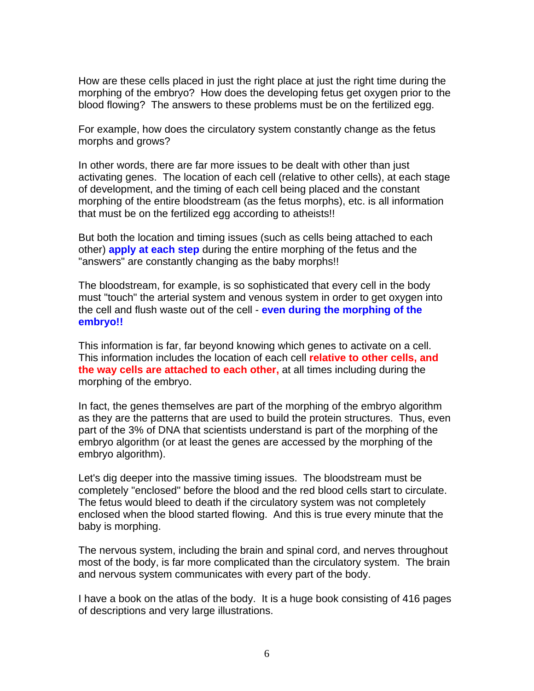How are these cells placed in just the right place at just the right time during the morphing of the embryo? How does the developing fetus get oxygen prior to the blood flowing? The answers to these problems must be on the fertilized egg.

For example, how does the circulatory system constantly change as the fetus morphs and grows?

In other words, there are far more issues to be dealt with other than just activating genes. The location of each cell (relative to other cells), at each stage of development, and the timing of each cell being placed and the constant morphing of the entire bloodstream (as the fetus morphs), etc. is all information that must be on the fertilized egg according to atheists!!

But both the location and timing issues (such as cells being attached to each other) **apply at each step** during the entire morphing of the fetus and the "answers" are constantly changing as the baby morphs!!

The bloodstream, for example, is so sophisticated that every cell in the body must "touch" the arterial system and venous system in order to get oxygen into the cell and flush waste out of the cell - **even during the morphing of the embryo!!**

This information is far, far beyond knowing which genes to activate on a cell. This information includes the location of each cell **relative to other cells, and the way cells are attached to each other,** at all times including during the morphing of the embryo.

In fact, the genes themselves are part of the morphing of the embryo algorithm as they are the patterns that are used to build the protein structures. Thus, even part of the 3% of DNA that scientists understand is part of the morphing of the embryo algorithm (or at least the genes are accessed by the morphing of the embryo algorithm).

Let's dig deeper into the massive timing issues. The bloodstream must be completely "enclosed" before the blood and the red blood cells start to circulate. The fetus would bleed to death if the circulatory system was not completely enclosed when the blood started flowing. And this is true every minute that the baby is morphing.

The nervous system, including the brain and spinal cord, and nerves throughout most of the body, is far more complicated than the circulatory system. The brain and nervous system communicates with every part of the body.

I have a book on the atlas of the body. It is a huge book consisting of 416 pages of descriptions and very large illustrations.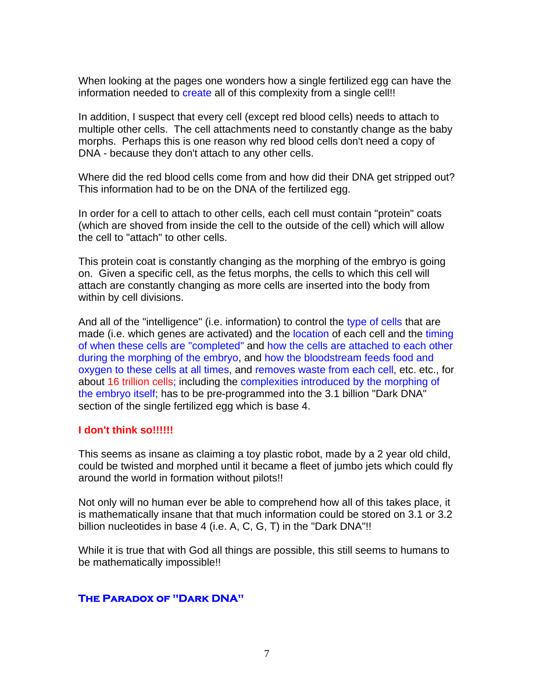When looking at the pages one wonders how a single fertilized egg can have the information needed to create all of this complexity from a single cell!!

In addition, I suspect that every cell (except red blood cells) needs to attach to multiple other cells. The cell attachments need to constantly change as the baby morphs. Perhaps this is one reason why red blood cells don't need a copy of DNA - because they don't attach to any other cells.

Where did the red blood cells come from and how did their DNA get stripped out? This information had to be on the DNA of the fertilized egg.

In order for a cell to attach to other cells, each cell must contain "protein" coats (which are shoved from inside the cell to the outside of the cell) which will allow the cell to "attach" to other cells.

This protein coat is constantly changing as the morphing of the embryo is going on. Given a specific cell, as the fetus morphs, the cells to which this cell will attach are constantly changing as more cells are inserted into the body from within by cell divisions.

And all of the "intelligence" (i.e. information) to control the type of cells that are made (i.e. which genes are activated) and the location of each cell and the timing of when these cells are "completed" and how the cells are attached to each other during the morphing of the embryo, and how the bloodstream feeds food and oxygen to these cells at all times, and removes waste from each cell, etc. etc., for about 16 trillion cells; including the complexities introduced by the morphing of the embryo itself; has to be pre-programmed into the 3.1 billion "Dark DNA" section of the single fertilized egg which is base 4.

#### **I don't think so!!!!!!**

This seems as insane as claiming a toy plastic robot, made by a 2 year old child, could be twisted and morphed until it became a fleet of jumbo jets which could fly around the world in formation without pilots!!

Not only will no human ever be able to comprehend how all of this takes place, it is mathematically insane that that much information could be stored on 3.1 or 3.2 billion nucleotides in base 4 (i.e. A, C, G, T) in the "Dark DNA"!!

While it is true that with God all things are possible, this still seems to humans to be mathematically impossible!!

#### **The Paradox of "Dark DNA"**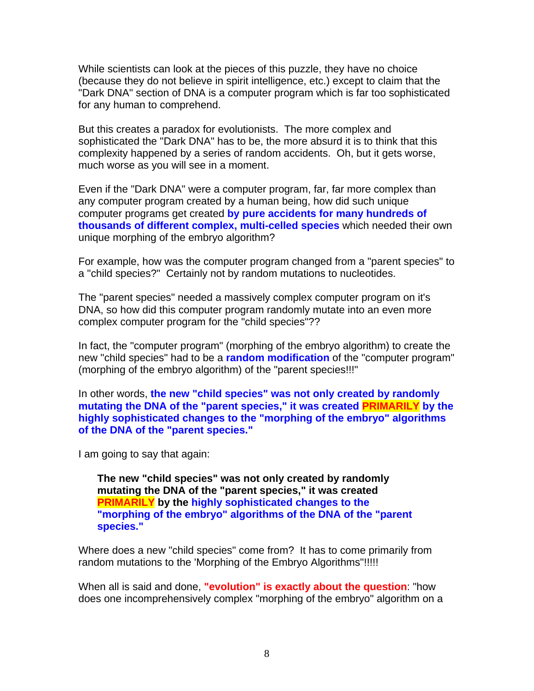While scientists can look at the pieces of this puzzle, they have no choice (because they do not believe in spirit intelligence, etc.) except to claim that the "Dark DNA" section of DNA is a computer program which is far too sophisticated for any human to comprehend.

But this creates a paradox for evolutionists. The more complex and sophisticated the "Dark DNA" has to be, the more absurd it is to think that this complexity happened by a series of random accidents. Oh, but it gets worse, much worse as you will see in a moment.

Even if the "Dark DNA" were a computer program, far, far more complex than any computer program created by a human being, how did such unique computer programs get created **by pure accidents for many hundreds of thousands of different complex, multi-celled species** which needed their own unique morphing of the embryo algorithm?

For example, how was the computer program changed from a "parent species" to a "child species?" Certainly not by random mutations to nucleotides.

The "parent species" needed a massively complex computer program on it's DNA, so how did this computer program randomly mutate into an even more complex computer program for the "child species"??

In fact, the "computer program" (morphing of the embryo algorithm) to create the new "child species" had to be a **random modification** of the "computer program" (morphing of the embryo algorithm) of the "parent species!!!"

In other words, **the new "child species" was not only created by randomly mutating the DNA of the "parent species," it was created PRIMARILY by the highly sophisticated changes to the "morphing of the embryo" algorithms of the DNA of the "parent species."** 

I am going to say that again:

**The new "child species" was not only created by randomly mutating the DNA of the "parent species," it was created PRIMARILY by the highly sophisticated changes to the "morphing of the embryo" algorithms of the DNA of the "parent species."**

Where does a new "child species" come from? It has to come primarily from random mutations to the 'Morphing of the Embryo Algorithms"!!!!!

When all is said and done, **"evolution" is exactly about the question**: "how does one incomprehensively complex "morphing of the embryo" algorithm on a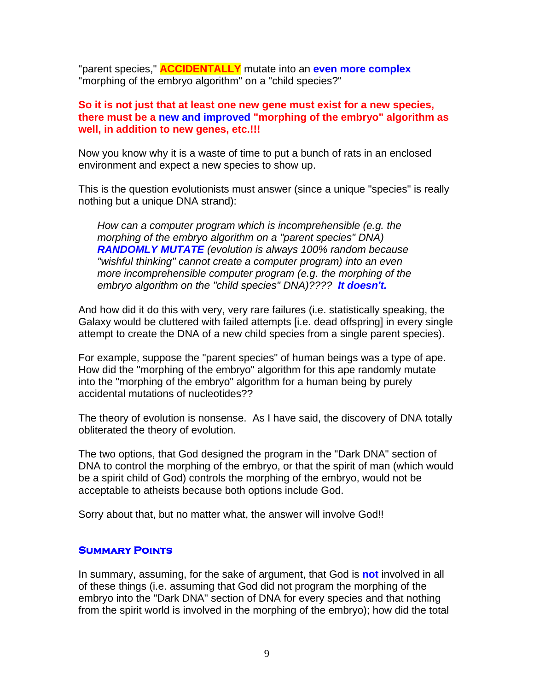"parent species," **ACCIDENTALLY** mutate into an **even more complex** "morphing of the embryo algorithm" on a "child species?"

#### **So it is not just that at least one new gene must exist for a new species, there must be a new and improved "morphing of the embryo" algorithm as well, in addition to new genes, etc.!!!**

Now you know why it is a waste of time to put a bunch of rats in an enclosed environment and expect a new species to show up.

This is the question evolutionists must answer (since a unique "species" is really nothing but a unique DNA strand):

*How can a computer program which is incomprehensible (e.g. the morphing of the embryo algorithm on a "parent species" DNA) RANDOMLY MUTATE (evolution is always 100% random because "wishful thinking" cannot create a computer program) into an even more incomprehensible computer program (e.g. the morphing of the embryo algorithm on the "child species" DNA)???? It doesn't.*

And how did it do this with very, very rare failures (i.e. statistically speaking, the Galaxy would be cluttered with failed attempts [i.e. dead offspring] in every single attempt to create the DNA of a new child species from a single parent species).

For example, suppose the "parent species" of human beings was a type of ape. How did the "morphing of the embryo" algorithm for this ape randomly mutate into the "morphing of the embryo" algorithm for a human being by purely accidental mutations of nucleotides??

The theory of evolution is nonsense. As I have said, the discovery of DNA totally obliterated the theory of evolution.

The two options, that God designed the program in the "Dark DNA" section of DNA to control the morphing of the embryo, or that the spirit of man (which would be a spirit child of God) controls the morphing of the embryo, would not be acceptable to atheists because both options include God.

Sorry about that, but no matter what, the answer will involve God!!

#### **Summary Points**

In summary, assuming, for the sake of argument, that God is **not** involved in all of these things (i.e. assuming that God did not program the morphing of the embryo into the "Dark DNA" section of DNA for every species and that nothing from the spirit world is involved in the morphing of the embryo); how did the total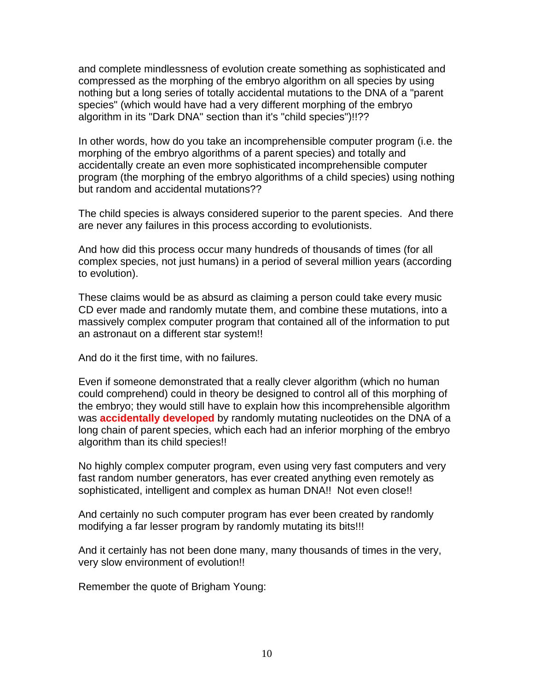and complete mindlessness of evolution create something as sophisticated and compressed as the morphing of the embryo algorithm on all species by using nothing but a long series of totally accidental mutations to the DNA of a "parent species" (which would have had a very different morphing of the embryo algorithm in its "Dark DNA" section than it's "child species")!!??

In other words, how do you take an incomprehensible computer program (i.e. the morphing of the embryo algorithms of a parent species) and totally and accidentally create an even more sophisticated incomprehensible computer program (the morphing of the embryo algorithms of a child species) using nothing but random and accidental mutations??

The child species is always considered superior to the parent species. And there are never any failures in this process according to evolutionists.

And how did this process occur many hundreds of thousands of times (for all complex species, not just humans) in a period of several million years (according to evolution).

These claims would be as absurd as claiming a person could take every music CD ever made and randomly mutate them, and combine these mutations, into a massively complex computer program that contained all of the information to put an astronaut on a different star system!!

And do it the first time, with no failures.

Even if someone demonstrated that a really clever algorithm (which no human could comprehend) could in theory be designed to control all of this morphing of the embryo; they would still have to explain how this incomprehensible algorithm was **accidentally developed** by randomly mutating nucleotides on the DNA of a long chain of parent species, which each had an inferior morphing of the embryo algorithm than its child species!!

No highly complex computer program, even using very fast computers and very fast random number generators, has ever created anything even remotely as sophisticated, intelligent and complex as human DNA!! Not even close!!

And certainly no such computer program has ever been created by randomly modifying a far lesser program by randomly mutating its bits!!!

And it certainly has not been done many, many thousands of times in the very, very slow environment of evolution!!

Remember the quote of Brigham Young: